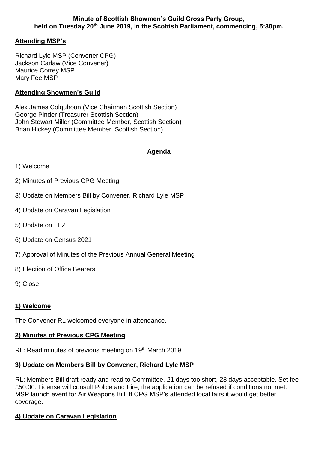# **Attending MSP's**

Richard Lyle MSP (Convener CPG) Jackson Carlaw (Vice Convener) Maurice Correy MSP Mary Fee MSP

### **Attending Showmen's Guild**

Alex James Colquhoun (Vice Chairman Scottish Section) George Pinder (Treasurer Scottish Section) John Stewart Miller (Committee Member, Scottish Section) Brian Hickey (Committee Member, Scottish Section)

### **Agenda**

- 1) Welcome
- 2) Minutes of Previous CPG Meeting
- 3) Update on Members Bill by Convener, Richard Lyle MSP
- 4) Update on Caravan Legislation
- 5) Update on LEZ
- 6) Update on Census 2021
- 7) Approval of Minutes of the Previous Annual General Meeting
- 8) Election of Office Bearers
- 9) Close

### **1) Welcome**

The Convener RL welcomed everyone in attendance.

### **2) Minutes of Previous CPG Meeting**

RL: Read minutes of previous meeting on 19<sup>th</sup> March 2019

## **3) Update on Members Bill by Convener, Richard Lyle MSP**

RL: Members Bill draft ready and read to Committee. 21 days too short, 28 days acceptable. Set fee £50.00. License will consult Police and Fire; the application can be refused if conditions not met. MSP launch event for Air Weapons Bill, If CPG MSP's attended local fairs it would get better coverage.

## **4) Update on Caravan Legislation**